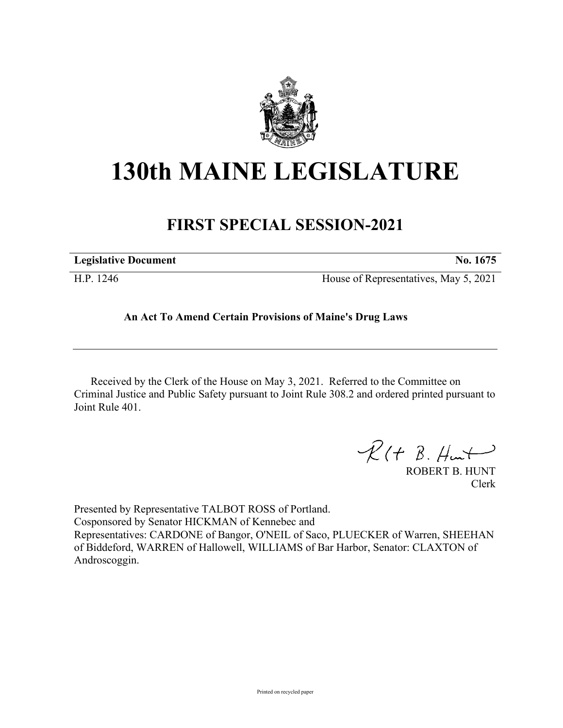

## **130th MAINE LEGISLATURE**

## **FIRST SPECIAL SESSION-2021**

| <b>Legislative Document</b> | No. 1675                              |
|-----------------------------|---------------------------------------|
| H.P. 1246                   | House of Representatives, May 5, 2021 |

## **An Act To Amend Certain Provisions of Maine's Drug Laws**

Received by the Clerk of the House on May 3, 2021. Referred to the Committee on Criminal Justice and Public Safety pursuant to Joint Rule 308.2 and ordered printed pursuant to Joint Rule 401.

 $R(H B. H<sub>un</sub>+)$ 

ROBERT B. HUNT Clerk

Presented by Representative TALBOT ROSS of Portland. Cosponsored by Senator HICKMAN of Kennebec and Representatives: CARDONE of Bangor, O'NEIL of Saco, PLUECKER of Warren, SHEEHAN of Biddeford, WARREN of Hallowell, WILLIAMS of Bar Harbor, Senator: CLAXTON of Androscoggin.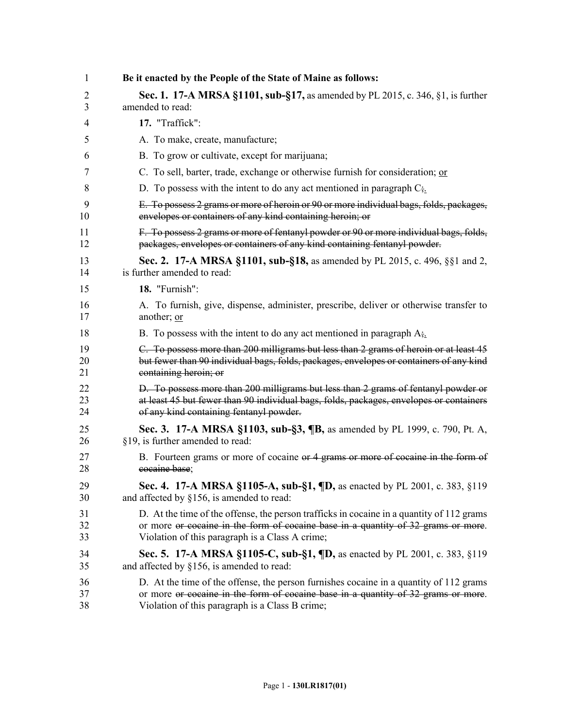| 1  | Be it enacted by the People of the State of Maine as follows:                             |
|----|-------------------------------------------------------------------------------------------|
| 2  | <b>Sec. 1. 17-A MRSA §1101, sub-§17, as amended by PL 2015, c. 346, §1, is further</b>    |
| 3  | amended to read:                                                                          |
| 4  | 17. "Traffick":                                                                           |
| 5  | A. To make, create, manufacture;                                                          |
| 6  | B. To grow or cultivate, except for marijuana;                                            |
| 7  | C. To sell, barter, trade, exchange or otherwise furnish for consideration; or            |
| 8  | D. To possess with the intent to do any act mentioned in paragraph $C_{\frac{1}{2}}$ .    |
| 9  | E. To possess 2 grams or more of heroin or 90 or more individual bags, folds, packages,   |
| 10 | envelopes or containers of any kind containing heroin; or                                 |
| 11 | F. To possess 2 grams or more of fentanyl powder or 90 or more individual bags, folds,    |
| 12 | packages, envelopes or containers of any kind containing fentanyl powder.                 |
| 13 | Sec. 2. 17-A MRSA §1101, sub-§18, as amended by PL 2015, c. 496, §§1 and 2,               |
| 14 | is further amended to read:                                                               |
| 15 | 18. "Furnish":                                                                            |
| 16 | A. To furnish, give, dispense, administer, prescribe, deliver or otherwise transfer to    |
| 17 | another; or                                                                               |
| 18 | B. To possess with the intent to do any act mentioned in paragraph $A_{\tilde{t}}$ .      |
| 19 | C. To possess more than 200 milligrams but less than 2 grams of heroin or at least 45     |
| 20 | but fewer than 90 individual bags, folds, packages, envelopes or containers of any kind   |
| 21 | containing heroin; or                                                                     |
| 22 | D. To possess more than 200 milligrams but less than 2 grams of fentanyl powder or        |
| 23 | at least 45 but fewer than 90 individual bags, folds, packages, envelopes or containers   |
| 24 | of any kind containing fentanyl powder.                                                   |
| 25 | <b>Sec. 3.</b> 17-A MRSA §1103, sub-§3, ¶B, as amended by PL 1999, c. 790, Pt. A,         |
| 26 | §19, is further amended to read:                                                          |
| 27 | B. Fourteen grams or more of cocaine or 4 grams or more of cocaine in the form of         |
| 28 | eocaine base;                                                                             |
| 29 | Sec. 4. 17-A MRSA §1105-A, sub-§1, ¶D, as enacted by PL 2001, c. 383, §119                |
| 30 | and affected by §156, is amended to read:                                                 |
| 31 | D. At the time of the offense, the person trafficks in cocaine in a quantity of 112 grams |
| 32 | or more or cocaine in the form of cocaine base in a quantity of 32 grams or more.         |
| 33 | Violation of this paragraph is a Class A crime;                                           |
| 34 | Sec. 5. 17-A MRSA §1105-C, sub-§1, ¶D, as enacted by PL 2001, c. 383, §119                |
| 35 | and affected by $§156$ , is amended to read:                                              |
| 36 | D. At the time of the offense, the person furnishes cocaine in a quantity of 112 grams    |
| 37 | or more or cocaine in the form of cocaine base in a quantity of 32 grams or more.         |
| 38 | Violation of this paragraph is a Class B crime;                                           |